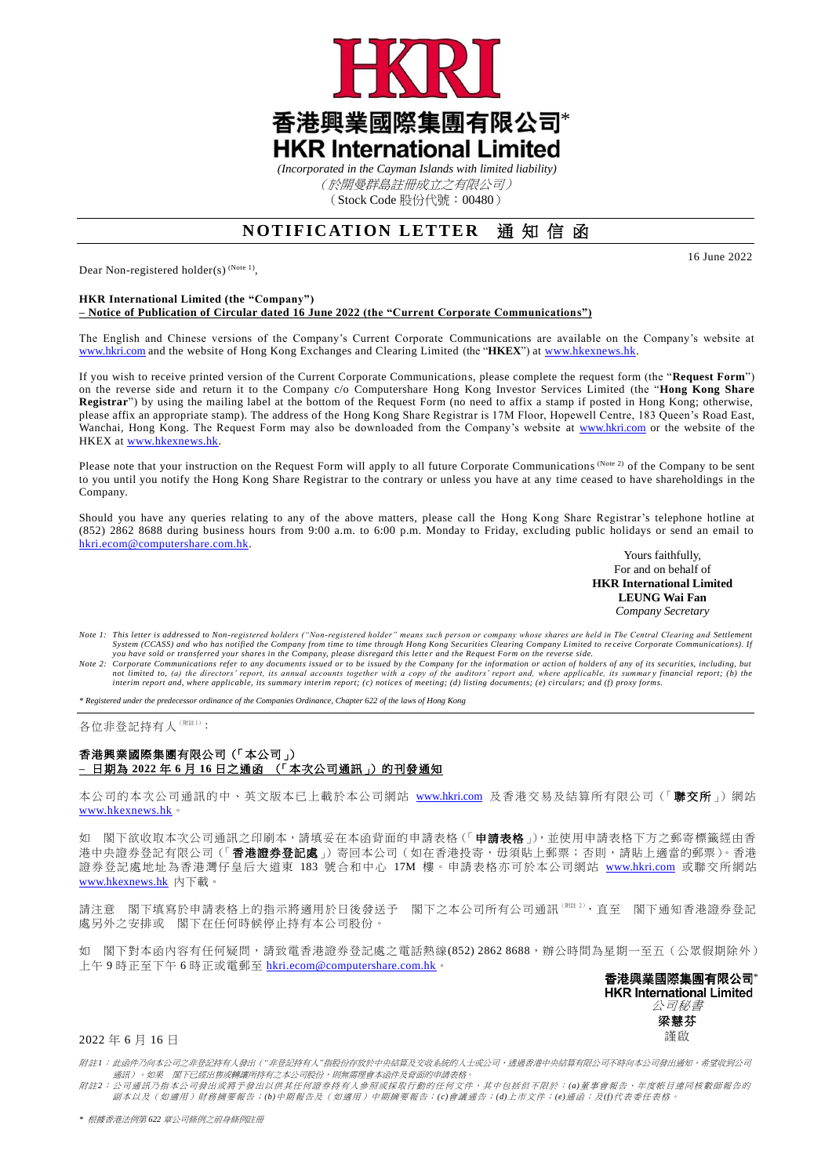

*(Incorporated in the Cayman Islands with limited liability)* (於開曼群島註冊成立之有限公司) (Stock Code 股份代號:00480)

## **NOTIFICATION LETTER** 通知信函

Dear Non-registered holder(s)<sup>(Note 1)</sup>,

## **HKR International Limited (the "Company")**

**– Notice of Publication of Circular dated 16 June 2022 (the "Current Corporate Communications")**

The English and Chinese versions of the Company's Current Corporate Communications are available on the Company's website at [www.hkri.com](http://www.hkri.com/) and the website of Hong Kong Exchanges and Clearing Limited (the "**HKEX**") at [www.hkexnews.hk.](http://www.hkexnews.hk/)

If you wish to receive printed version of the Current Corporate Communications, please complete the request form (the "**Request Form**") on the reverse side and return it to the Company c/o Computershare Hong Kong Investor Services Limited (the "**Hong Kong Share Registrar**") by using the mailing label at the bottom of the Request Form (no need to affix a stamp if posted in Hong Kong; otherwise, please affix an appropriate stamp). The address of the Hong Kong Share Registrar is 17M Floor, Hopewell Centre, 183 Queen's Road East, Wanchai, Hong Kong. The Request Form may also be downloaded from the Company's website at [www.hkri.com](http://www.hkri.com/) or the website of the HKEX at [www.hkexnews.hk.](http://www.hkexnews.hk/)

Please note that your instruction on the Request Form will apply to all future Corporate Communications (Note 2) of the Company to be sent to you until you notify the Hong Kong Share Registrar to the contrary or unless you have at any time ceased to have shareholdings in the Company.

Should you have any queries relating to any of the above matters, please call the Hong Kong Share Registrar's telephone hotline at (852) 2862 8688 during business hours from 9:00 a.m. to 6:00 p.m. Monday to Friday, excluding public holidays or send an email to hkri[.ecom@](mailto:hkri.ecom@computershare.com.hk)computershare.com.hk.

Yours faithfully, For and on behalf of **HKR International Limited LEUNG Wai Fan** *Company Secretary*

- *Note 1: This letter is addressed to Non-registered holders ("Non-registered holder" means such person or company whose shares are held in The Central Clearing and Settlement*  System (CCASS) and who has notified the Company from time to time through Hong Kong Securities Clearing Company Limited to receive Corporate Communications). If<br>you have sold or transferred your shares in the Company, plea
- Note 2: Corporate Communications refer to any documents issued or to be issued by the Company for the information or action of holders of any of its securities, including, but<br>not limited to, (a) the directors' report, its

*\* Registered under the predecessor ordinance of the Companies Ordinance, Chapter 622 of the laws of Hong Kong*

各位非登記持有人<sup>(附註1)</sup>:

## 香港興業國際集圑有限公司(「本公司」) **–** 日期為 **2022** 年 **6** 月 **16** 日之通函 (「本次公司通訊」)的刊發通知

本公司的本次公司通訊的中、英文版本已上載於本公司網站 [www.hkri.com](https://www.hkri.com/zh-TW) 及香港交易及結算所有限公司(「聯交所」)網站 [www.hkexnews.hk](http://www.hkexnews.hk/)。

如 閣下欲收取本次公司通訊之印刷本,請填妥在本函背面的申請表格(「申請表格」,並使用申請表格下方之郵寄標籤經由香 ,<br>港中央證券登記有限公司 (「**香港證券登記處**」) 寄回本公司 ( 如在香港投寄,毋須貼上郵票;否則,請貼上適當的郵票 )。香港 證券登記處地址為香港灣仔皇后大道東 183 號合和中心 17M 樓。申請表格亦可於本公司網站 [www.hkri.com](https://www.hkri.com/zh-TW) 或聯交所網站 [www.hkexnews.hk](https://www.hkexnews.hk/index_c.htm) 內下載。

請注意 閣下填寫於申請表格上的指示將適用於日後發送予 閣下之本公司所有公司通訊(W##2),直至 閣下通知香港證券登記 處另外之安排或 閣下在任何時候停止持有本公司股份。

如 閣下對本函內容有任何疑問,請致電香港證券登記處之電話熱線(852) 2862 8688,辦公時間為星期一至五(公眾假期除外) 上午 9 時正至下午 6 時正或電郵至 hkri[.ecom@](mailto:hkri.ecom@computershare.com.hk)computershare.com.hk。

> 香港興業國際集團有限公司\* **HKR International Limited** 公司秘書 梁慧芬

> > 謹啟

## 2022 年 6 月 16 日

附註*1*: 此函件乃向本公司之非登記持有人發出(*"*非登記持有人*"*指股份存放於中央結算及交收系統的人士或公司,透過香港中央結算有限公司不時向本公司發出通知,希望收到公司 通訊)。如果 閣下已經出售或轉讓所持有之本公司股份,則無需理會本函件及背面的申請表格。

附註*2*: 公司通訊乃指本公司發出或將予發出以供其任何證券持有人參照或採取行動的任何文件,其中包括但不限於: *(a)*董事會報告、年度帳目連同核數師報告的 副本以及(如適用)財務摘要報告;*(b)*中期報告及(如適用)中期摘要報告;*(c)*會議通告;*(d)*上市文件;*(e)*通函;及*(f)*代表委任表格。

16 June 2022